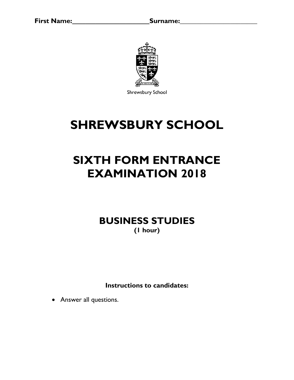

Shrewsbury School

## **SHREWSBURY SCHOOL**

# **SIXTH FORM ENTRANCE EXAMINATION 2018**

**BUSINESS STUDIES (1 hour)**

**Instructions to candidates:**

• Answer all questions.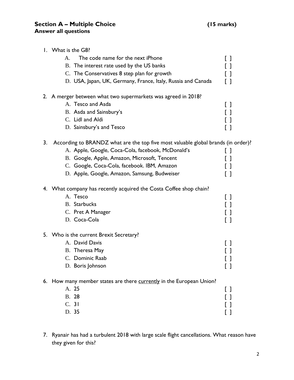|    | 1. What is the G8?<br>The code name for the next iPhone<br>Α.<br>B. The interest rate used by the US banks<br>C. The Conservatives 8 step plan for growth<br>D. USA, Japan, UK, Germany, France, Italy, Russia and Canada                                                             | $\Box$<br>$\mathsf{L}$                  |
|----|---------------------------------------------------------------------------------------------------------------------------------------------------------------------------------------------------------------------------------------------------------------------------------------|-----------------------------------------|
|    | 2. A merger between what two supermarkets was agreed in 2018?<br>A. Tesco and Asda<br>B. Asda and Sainsbury's<br>C. Lidl and Aldi<br>D. Sainsbury's and Tesco                                                                                                                         | []<br>LΙ                                |
| 3. | According to BRANDZ what are the top five most valuable global brands (in order)?<br>A. Apple, Google, Coca-Cola, facebook, McDonald's<br>B. Google, Apple, Amazon, Microsoft, Tencent<br>C. Google, Coca-Cola, facebook. IBM, Amazon<br>D. Apple, Google, Amazon, Samsung, Budweiser | LΙ                                      |
|    | 4. What company has recently acquired the Costa Coffee shop chain?<br>A. Tesco<br><b>B.</b> Starbucks<br>C. Pret A Manager<br>D. Coca-Cola                                                                                                                                            | []<br>$\Box$                            |
|    | 5. Who is the current Brexit Secretary?<br>A. David Davis<br>B. Theresa May<br>C. Dominic Raab<br>D. Boris Johnson                                                                                                                                                                    | ιı<br>$\begin{bmatrix} 1 \end{bmatrix}$ |
|    | 6. How many member states are there currently in the European Union?<br>A. 25<br>B. 28<br>C. 31<br>D. 35                                                                                                                                                                              | -1                                      |

7. Ryanair has had a turbulent 2018 with large scale flight cancellations. What reason have they given for this?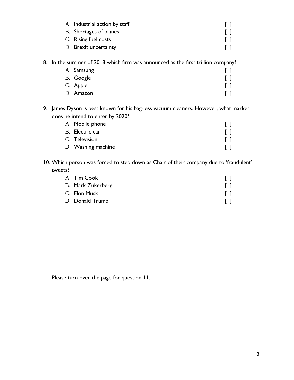| A. Industrial action by staff |  |
|-------------------------------|--|
| B. Shortages of planes        |  |
| C. Rising fuel costs          |  |
| D. Brexit uncertainty         |  |
|                               |  |

#### 8. In the summer of 2018 which firm was announced as the first trillion company?

| A. Samsung |  |
|------------|--|
| B. Google  |  |
| C. Apple   |  |
| D. Amazon  |  |

9. James Dyson is best known for his bag-less vacuum cleaners. However, what market does he intend to enter by 2020?

| A. Mobile phone    |  |
|--------------------|--|
| B. Electric car    |  |
| C. Television      |  |
| D. Washing machine |  |

10. Which person was forced to step down as Chair of their company due to 'fraudulent' tweets?

| A. Tim Cook              |                                           |
|--------------------------|-------------------------------------------|
| <b>B.</b> Mark Zukerberg | $\begin{smallmatrix} 1 \end{smallmatrix}$ |
| C. Elon Musk             | []                                        |
| D. Donald Trump          |                                           |

Please turn over the page for question 11.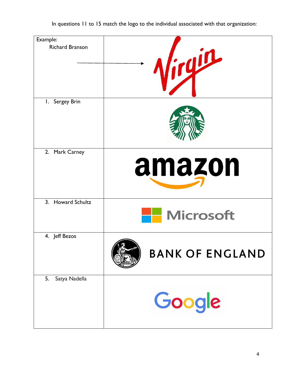| Example:               |                        |
|------------------------|------------------------|
| <b>Richard Branson</b> | Niryin                 |
| I. Sergey Brin         |                        |
| 2. Mark Carney         | amazon                 |
| 3. Howard Schultz      | <b>Microsoft</b>       |
| 4. Jeff Bezos          | <b>BANK OF ENGLAND</b> |
| 5.<br>Satya Nadella    | Google                 |

In questions 11 to 15 match the logo to the individual associated with that organization: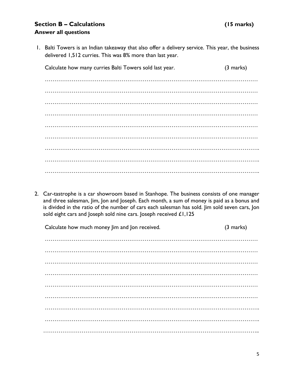### **Section B – Calculations (15 marks) Answer all questions**

1. Balti Towers is an Indian takeaway that also offer a delivery service. This year, the business delivered 1,512 curries. This was 8% more than last year.

Calculate how many curries Balti Towers sold last year. (3 marks) ………………………………………………………………………………………………… ………………………………………………………………………………………………… ………………………………………………………………………………………………… ………………………………………………………………………………………………… ………………………………………………………………………………………………… ………………………………………………………………………………………………… …………………………………………………………………………………………………. …………………………………………………………………………………………………. ………………………………………………………………………………………………….

2. Car-tastrophe is a car showroom based in Stanhope. The business consists of one manager and three salesman, Jim, Jon and Joseph. Each month, a sum of money is paid as a bonus and is divided in the ratio of the number of cars each salesman has sold. Jim sold seven cars, Jon sold eight cars and Joseph sold nine cars. Joseph received  $£1,125$ 

Calculate how much money Jim and Jon received. (3 marks) ………………………………………………………………………………………………… ………………………………………………………………………………………………… ………………………………………………………………………………………………… ………………………………………………………………………………………………… ………………………………………………………………………………………………… ………………………………………………………………………………………………… …………………………………………………………………………………………………. …………………………………………………………………………………………………. …………………………………………………………………………………………………..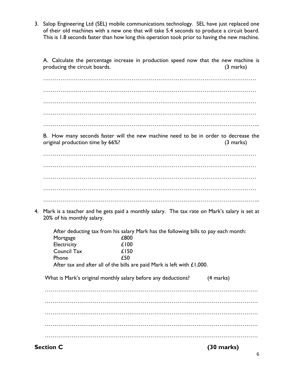3. Salop Engineering Ltd (SEL) mobile communications technology. SEL have just replaced one of their old machines with a new one that will take 5.4 seconds to produce a circuit board. This is 1.8 seconds faster than how long this operation took prior to having the new machine.

A. Calculate the percentage increase in production speed now that the new machine is producing the circuit boards. (3 marks)

………………………………………………………………………………………………… ………………………………………………………………………………………………… ………………………………………………………………………………………………… ………………………………………………………………………………………………… …………………………………………………………………………………………………..

B. How many seconds faster will the new machine need to be in order to decrease the original production time by 66%? (3 marks)

…………………………………………………………………………………………………

………………………………………………………………………………………………… ………………………………………………………………………………………………… ………………………………………………………………………………………………… …………………………………………………………………………………………………..

4. Mark is a teacher and he gets paid a monthly salary. The tax rate on Mark's salary is set at 20% of his monthly salary.

After deducting tax from his salary Mark has the following bills to pay each month:<br>COO  $M$ ortgage

| TTOI tgage   | LOVV |  |
|--------------|------|--|
| Electricity  | £100 |  |
| Council Tax  | £150 |  |
| <b>Phone</b> | £50  |  |
|              |      |  |

After tax and after all of the bills are paid Mark is left with £1,000.

What is Mark's original monthly salary before any deductions? (4 marks)

………………………………………………………………………………………………… ………………………………………………………………………………………………… ………………………………………………………………………………………………… ………………………………………………………………………………………………… …………………………………………………………………………………………………

**Section C (30 marks)**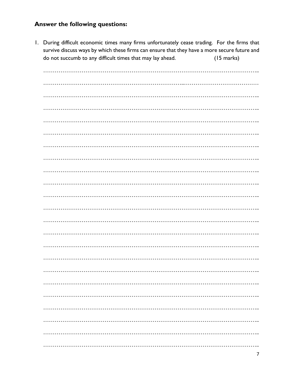#### **Answer the following questions:**

1. During difficult economic times many firms unfortunately cease trading. For the firms that survive discuss ways by which these firms can ensure that they have a more secure future and do not succumb to any difficult times that may lay ahead.  $(15 \text{ marks})$